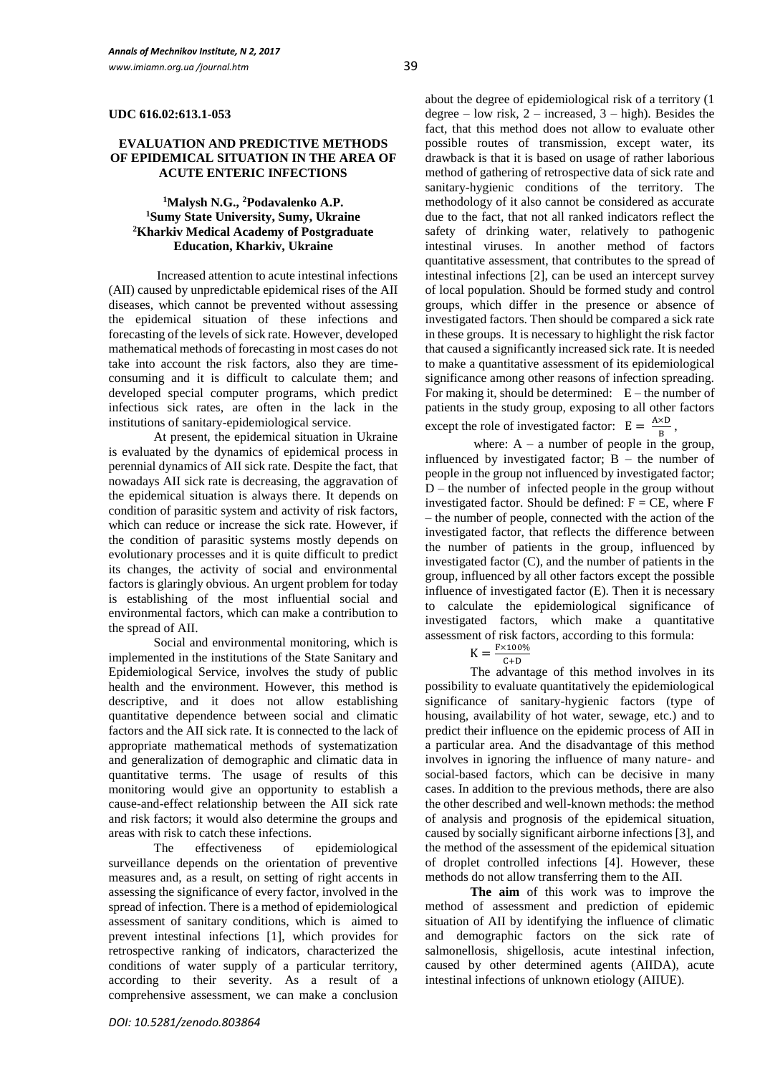#### **EVALUATION AND PREDICTIVE METHODS OF EPIDEMICAL SITUATION IN THE AREA OF ACUTE ENTERIC INFECTIONS**

## **<sup>1</sup>Malysh N.G., <sup>2</sup>Podavalenko A.P. <sup>1</sup>Sumy State University, Sumy, Ukraine <sup>2</sup>Kharkiv Medical Academy of Postgraduate Education, Kharkiv, Ukraine**

Increased attention to acute intestinal infections (AII) caused by unpredictable epidemical rises of the AII diseases, which cannot be prevented without assessing the epidemical situation of these infections and forecasting of the levels of sick rate. However, developed mathematical methods of forecasting in most cases do not take into account the risk factors, also they are timeconsuming and it is difficult to calculate them; and developed special computer programs, which predict infectious sick rates, are often in the lack in the institutions of sanitary-epidemiological service.

At present, the epidemical situation in Ukraine is evaluated by the dynamics of epidemical process in perennial dynamics of AII sick rate. Despite the fact, that nowadays AII sick rate is decreasing, the aggravation of the epidemical situation is always there. It depends on condition of parasitic system and activity of risk factors, which can reduce or increase the sick rate. However, if the condition of parasitic systems mostly depends on evolutionary processes and it is quite difficult to predict its changes, the activity of social and environmental factors is glaringly obvious. An urgent problem for today is establishing of the most influential social and environmental factors, which can make a contribution to the spread of AII.

Social and environmental monitoring, which is implemented in the institutions of the State Sanitary and Epidemiological Service, involves the study of public health and the environment. However, this method is descriptive, and it does not allow establishing quantitative dependence between social and climatic factors and the AII sick rate. It is connected to the lack of appropriate mathematical methods of systematization and generalization of demographic and climatic data in quantitative terms. The usage of results of this monitoring would give an opportunity to establish a cause-and-effect relationship between the AII sick rate and risk factors; it would also determine the groups and areas with risk to catch these infections.

The effectiveness of epidemiological surveillance depends on the orientation of preventive measures and, as a result, on setting of right accents in assessing the significance of every factor, involved in the spread of infection. There is a method of epidemiological assessment of sanitary conditions, which is aimed to prevent intestinal infections [1], which provides for retrospective ranking of indicators, characterized the conditions of water supply of a particular territory, according to their severity. As a result of a comprehensive assessment, we can make a conclusion about the degree of epidemiological risk of a territory (1 degree – low risk,  $2$  – increased,  $3$  – high). Besides the fact, that this method does not allow to evaluate other possible routes of transmission, except water, its drawback is that it is based on usage of rather laborious method of gathering of retrospective data of sick rate and sanitary-hygienic conditions of the territory. The methodology of it also cannot be considered as accurate due to the fact, that not all ranked indicators reflect the safety of drinking water, relatively to pathogenic intestinal viruses. In another method of factors quantitative assessment, that contributes to the spread of intestinal infections [2], can be used an intercept survey of local population. Should be formed study and control groups, which differ in the presence or absence of investigated factors. Then should be compared a sick rate in these groups. It is necessary to highlight the risk factor that caused a significantly increased sick rate. It is needed to make a quantitative assessment of its epidemiological significance among other reasons of infection spreading. For making it, should be determined:  $E$  – the number of patients in the study group, exposing to all other factors except the role of investigated factor:  $E = \frac{A \times D}{D}$  $\frac{\Delta D}{B}$ ,

where:  $A - a$  number of people in the group, influenced by investigated factor;  $\overrightarrow{B}$  – the number of people in the group not influenced by investigated factor;  $D$  – the number of infected people in the group without investigated factor. Should be defined:  $F = CE$ , where  $F$ – the number of people, connected with the action of the investigated factor, that reflects the difference between the number of patients in the group, influenced by investigated factor (C), and the number of patients in the group, influenced by all other factors except the possible influence of investigated factor (E). Then it is necessary to calculate the epidemiological significance of investigated factors, which make a quantitative assessment of risk factors, according to this formula:

$$
K = \frac{F \times 100\%}{C+D}
$$

C+D The advantage of this method involves in its possibility to evaluate quantitatively the epidemiological significance of sanitary-hygienic factors (type of housing, availability of hot water, sewage, etc.) and to predict their influence on the epidemic process of AII in a particular area. And the disadvantage of this method involves in ignoring the influence of many nature- and social-based factors, which can be decisive in many cases. In addition to the previous methods, there are also the other described and well-known methods: the method of analysis and prognosis of the epidemical situation, caused by socially significant airborne infections [3], and the method of the assessment of the epidemical situation of droplet controlled infections [4]. However, these methods do not allow transferring them to the AII.

**The aim** of this work was to improve the method of assessment and prediction of epidemic situation of AII by identifying the influence of climatic and demographic factors on the sick rate of salmonellosis, shigellosis, acute intestinal infection, caused by other determined agents (AIIDA), acute intestinal infections of unknown etiology (AIIUE).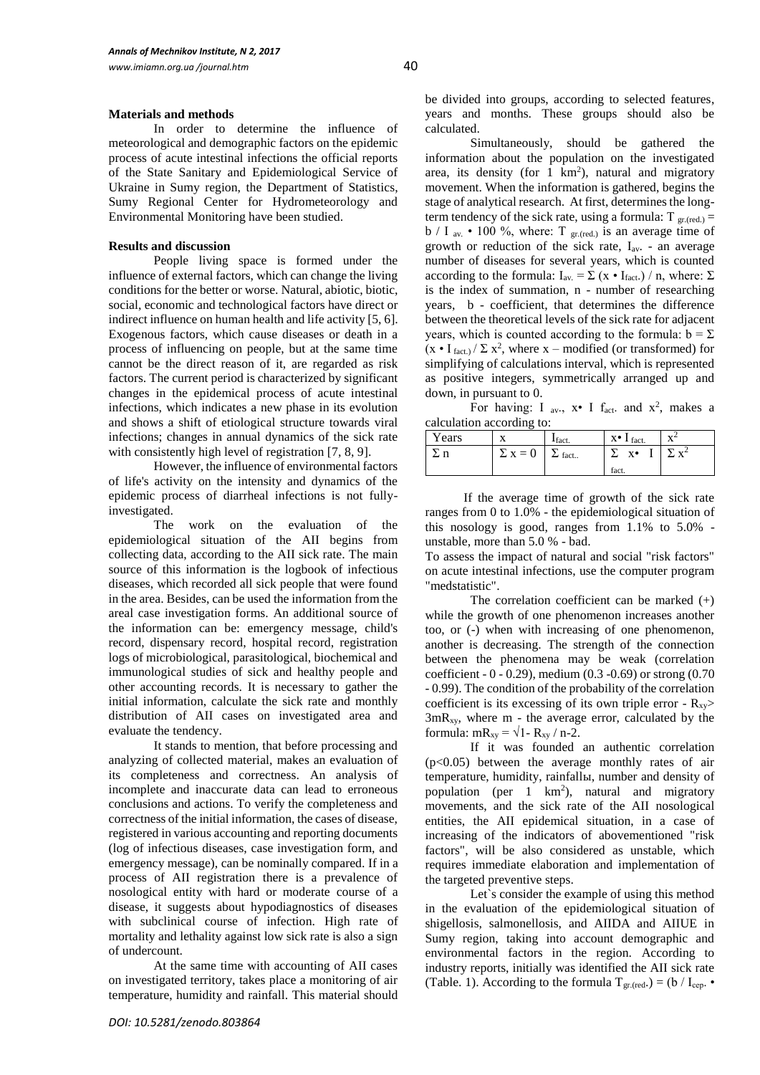#### **Materials and methods**

In order to determine the influence of meteorological and demographic factors on the epidemic process of acute intestinal infections the official reports of the State Sanitary and Epidemiological Service of Ukraine in Sumy region, the Department of Statistics, Sumy Regional Center for Hydrometeorology and Environmental Monitoring have been studied.

## **Results and discussion**

People living space is formed under the influence of external factors, which can change the living conditions for the better or worse. Natural, abiotic, biotic, social, economic and technological factors have direct or indirect influence on human health and life activity [5, 6]. Exogenous factors, which cause diseases or death in a process of influencing on people, but at the same time cannot be the direct reason of it, are regarded as risk factors. The current period is characterized by significant changes in the epidemical process of acute intestinal infections, which indicates a new phase in its evolution and shows a shift of etiological structure towards viral infections; changes in annual dynamics of the sick rate with consistently high level of registration [7, 8, 9].

However, the influence of environmental factors of life's activity on the intensity and dynamics of the epidemic process of diarrheal infections is not fullyinvestigated.

The work on the evaluation of the epidemiological situation of the AII begins from collecting data, according to the AII sick rate. The main source of this information is the logbook of infectious diseases, which recorded all sick people that were found in the area. Besides, can be used the information from the areal case investigation forms. An additional source of the information can be: emergency message, child's record, dispensary record, hospital record, registration logs of microbiological, parasitological, biochemical and immunological studies of sick and healthy people and other accounting records. It is necessary to gather the initial information, calculate the sick rate and monthly distribution of AII cases on investigated area and evaluate the tendency.

It stands to mention, that before processing and analyzing of collected material, makes an evaluation of its completeness and correctness. An analysis of incomplete and inaccurate data can lead to erroneous conclusions and actions. To verify the completeness and correctness of the initial information, the cases of disease, registered in various accounting and reporting documents (log of infectious diseases, case investigation form, and emergency message), can be nominally compared. If in a process of AII registration there is a prevalence of nosological entity with hard or moderate course of a disease, it suggests about hypodiagnostics of diseases with subclinical course of infection. High rate of mortality and lethality against low sick rate is also a sign of undercount.

At the same time with accounting of AII cases on investigated territory, takes place a monitoring of air temperature, humidity and rainfall. This material should be divided into groups, according to selected features, years and months. These groups should also be calculated.

Simultaneously, should be gathered the information about the population on the investigated area, its density (for  $1 \text{ km}^2$ ), natural and migratory movement. When the information is gathered, begins the stage of analytical research. At first, determines the longterm tendency of the sick rate, using a formula:  $T_{gr.(red.)} =$ b / I <sub>av.</sub> • 100 %, where: T  $_{gr,(red.)}$  is an average time of growth or reduction of the sick rate,  $I_{av}$ . - an average number of diseases for several years, which is counted according to the formula:  $I_{av} = \sum (x \cdot I_{\text{fact.}}) / n$ , where:  $\Sigma$ is the index of summation, n - number of researching years, b - coefficient, that determines the difference between the theoretical levels of the sick rate for adjacent years, which is counted according to the formula:  $b = \Sigma$  $(x \cdot I_{\text{fact.}}) / \Sigma x^2$ , where x – modified (or transformed) for simplifying of calculations interval, which is represented as positive integers, symmetrically arranged up and down, in pursuant to 0.

For having: I av.,  $x \cdot I$  fact. and  $x^2$ , makes a calculation according to:

| Years |                               | fact. | $X^{\bullet}$ I fact. | $\mathbf{v}^{\perp}$ |
|-------|-------------------------------|-------|-----------------------|----------------------|
|       | $\Sigma$ X = 0 $\Sigma$ fact. |       | $X^{\bullet}$         | $\nabla$ $v^2$       |
|       |                               |       | fact.                 |                      |

 If the average time of growth of the sick rate ranges from 0 to 1.0% - the epidemiological situation of this nosology is good, ranges from 1.1% to 5.0% unstable, more than 5.0 % - bad.

To assess the impact of natural and social "risk factors" on acute intestinal infections, use the computer program "medstatistic".

The correlation coefficient can be marked (+) while the growth of one phenomenon increases another too, or (-) when with increasing of one phenomenon, another is decreasing. The strength of the connection between the phenomena may be weak (correlation coefficient - 0 - 0.29), medium (0.3 -0.69) or strong (0.70 - 0.99). The condition of the probability of the correlation coefficient is its excessing of its own triple error -  $R_{xy}$ >  $3mR_{xy}$ , where m - the average error, calculated by the formula:  $mR_{xy} = \sqrt{1 - R_{xy}} / n-2$ .

If it was founded an authentic correlation  $(p<0.05)$  between the average monthly rates of air temperature, humidity, rainfallы, number and density of population (per  $1 \ km^2$ ), natural and migratory movements, and the sick rate of the AII nosological entities, the AII epidemical situation, in a case of increasing of the indicators of abovementioned "risk factors", will be also considered as unstable, which requires immediate elaboration and implementation of the targeted preventive steps.

Let`s consider the example of using this method in the evaluation of the epidemiological situation of shigellosis, salmonellosis, and AIIDA and AIIUE in Sumy region, taking into account demographic and environmental factors in the region. According to industry reports, initially was identified the AII sick rate (Table. 1). According to the formula  $T_{gr.(red.)} = (b / I_{cep.} \cdot$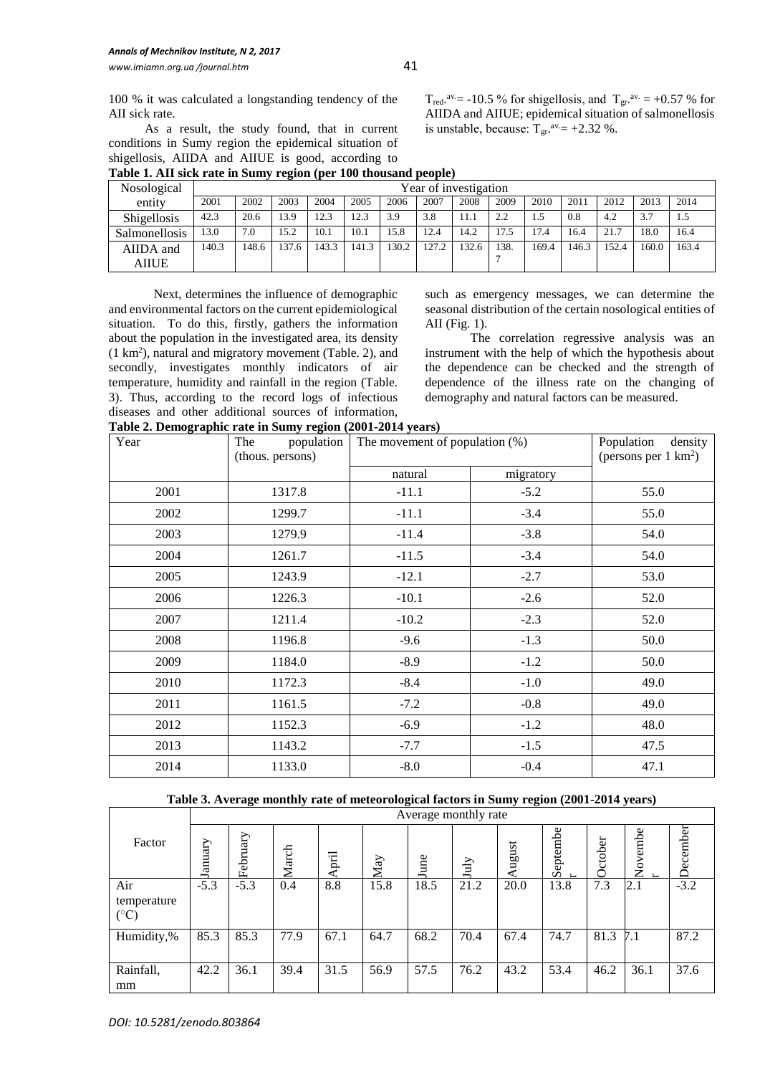100 % it was calculated a longstanding tendency of the AII sick rate.

As a result, the study found, that in current conditions in Sumy region the epidemical situation of

|                    |       |                       | $\overline{\phantom{a}}$ |       |       |       |       |       |      |       |       |       |       |       |
|--------------------|-------|-----------------------|--------------------------|-------|-------|-------|-------|-------|------|-------|-------|-------|-------|-------|
| Nosological        |       | Year of investigation |                          |       |       |       |       |       |      |       |       |       |       |       |
| entity             | 2001  | 2002                  | 2003                     | 2004  | 2005  | 2006  | 2007  | 2008  | 2009 | 2010  | 2011  | 2012  | 2013  | 2014  |
| <b>Shigellosis</b> | 42.3  | 20.6                  | 13.9                     | 12.3  | 12.3  | 3.9   | 3.8   | 11.1  | 2.2  |       | 0.8   | 4.2   | 3.7   |       |
| Salmonellosis      | 13.0  | 7.0                   | 15.2                     | 10.1  | 10.1  | 15.8  | 12.4  | 14.2  |      | 7.4   | 16.4  | 21.7  | 18.0  | 16.4  |
| AIIDA and          | 140.3 | 148.6                 | 37.6                     | 143.3 | 141.3 | 130.2 | 127.2 | 132.6 | 138  | 169.4 | 146.3 | 152.4 | 160.0 | 163.4 |
| AIIUE              |       |                       |                          |       |       |       |       |       |      |       |       |       |       |       |

Next, determines the influence of demographic and environmental factors on the current epidemiological situation. To do this, firstly, gathers the information about the population in the investigated area, its density (1 km<sup>2</sup> ), natural and migratory movement (Table. 2), and secondly, investigates monthly indicators of air temperature, humidity and rainfall in the region (Table. 3). Thus, according to the record logs of infectious diseases and other additional sources of information,

such as emergency messages, we can determine the seasonal distribution of the certain nosological entities of AII (Fig. 1).

T<sub>red</sub>.<sup>av</sup> = -10.5 % for shigellosis, and T<sub>gr</sub>.<sup>av.</sup> = +0.57 % for AIIDA and AIIUE; epidemical situation of salmonellosis

is unstable, because:  $T_{gr}$ .  $a_v = +2.32$  %.

The correlation regressive analysis was an instrument with the help of which the hypothesis about the dependence can be checked and the strength of dependence of the illness rate on the changing of demography and natural factors can be measured.

| shigellosis, AIIDA and AIIUE is good, according to              |                       |      |      |      |                  |                  |      |      |          |  |  |
|-----------------------------------------------------------------|-----------------------|------|------|------|------------------|------------------|------|------|----------|--|--|
| Table 1. AII sick rate in Sumy region (per 100 thousand people) |                       |      |      |      |                  |                  |      |      |          |  |  |
| Nosological                                                     | Year of investigation |      |      |      |                  |                  |      |      |          |  |  |
|                                                                 | 2001                  | 2002 | 2002 | 2004 | 200 <sup>5</sup> | 200 <sup>2</sup> | 2007 | 0000 | $\Omega$ |  |  |

|  |  | Table 2. Demographic rate in Sumy region (2001-2014 years) |
|--|--|------------------------------------------------------------|

| Year | population<br>The<br>(thous. persons) | The movement of population $(\%)$ | Population density<br>(persons per $1 \text{ km}^2$ ) |      |  |
|------|---------------------------------------|-----------------------------------|-------------------------------------------------------|------|--|
|      |                                       | natural                           | migratory                                             |      |  |
| 2001 | 1317.8                                | $-11.1$                           | $-5.2$                                                | 55.0 |  |
| 2002 | 1299.7                                | $-11.1$                           | $-3.4$                                                | 55.0 |  |
| 2003 | 1279.9                                | $-11.4$                           | $-3.8$                                                | 54.0 |  |
| 2004 | 1261.7                                | $-11.5$                           | $-3.4$                                                | 54.0 |  |
| 2005 | 1243.9                                | $-12.1$                           | $-2.7$                                                | 53.0 |  |
| 2006 | 1226.3                                | $-10.1$                           | $-2.6$                                                | 52.0 |  |
| 2007 | 1211.4                                | $-10.2$                           | $-2.3$                                                | 52.0 |  |
| 2008 | 1196.8                                | $-9.6$                            | $-1.3$                                                | 50.0 |  |
| 2009 | 1184.0                                | $-8.9$                            | $-1.2$                                                | 50.0 |  |
| 2010 | 1172.3                                | $-8.4$                            | $-1.0$                                                | 49.0 |  |
| 2011 | 1161.5                                | $-7.2$                            | $-0.8$                                                | 49.0 |  |
| 2012 | 1152.3                                | $-6.9$                            | $-1.2$                                                | 48.0 |  |
| 2013 | 1143.2                                | $-7.7$                            | $-1.5$                                                | 47.5 |  |
| 2014 | 1133.0                                | $-8.0$                            | $-0.4$                                                | 47.1 |  |

#### **Table 3. Average monthly rate of meteorological factors in Sumy region (2001-2014 years)**

|                                       |         |          |       |       |      |      | Average monthly rate |       |                                      |         |                                                        |          |
|---------------------------------------|---------|----------|-------|-------|------|------|----------------------|-------|--------------------------------------|---------|--------------------------------------------------------|----------|
| Factor                                | January | February | March | April | May  | June | July                 | ugust | Septembe<br>$\overline{\phantom{a}}$ | October | embe<br>$\mathbf{\hat{z}}$<br>$\overline{\phantom{a}}$ | December |
| Air<br>temperature<br>$({}^{\circ}C)$ | $-5.3$  | $-5.3$   | 0.4   | 8.8   | 15.8 | 18.5 | 21.2                 | 20.0  | 13.8                                 | 7.3     | 2.1                                                    | $-3.2$   |
| Humidity,%                            | 85.3    | 85.3     | 77.9  | 67.1  | 64.7 | 68.2 | 70.4                 | 67.4  | 74.7                                 | 81.3    | 7.1                                                    | 87.2     |
| Rainfall,<br>mm                       | 42.2    | 36.1     | 39.4  | 31.5  | 56.9 | 57.5 | 76.2                 | 43.2  | 53.4                                 | 46.2    | 36.1                                                   | 37.6     |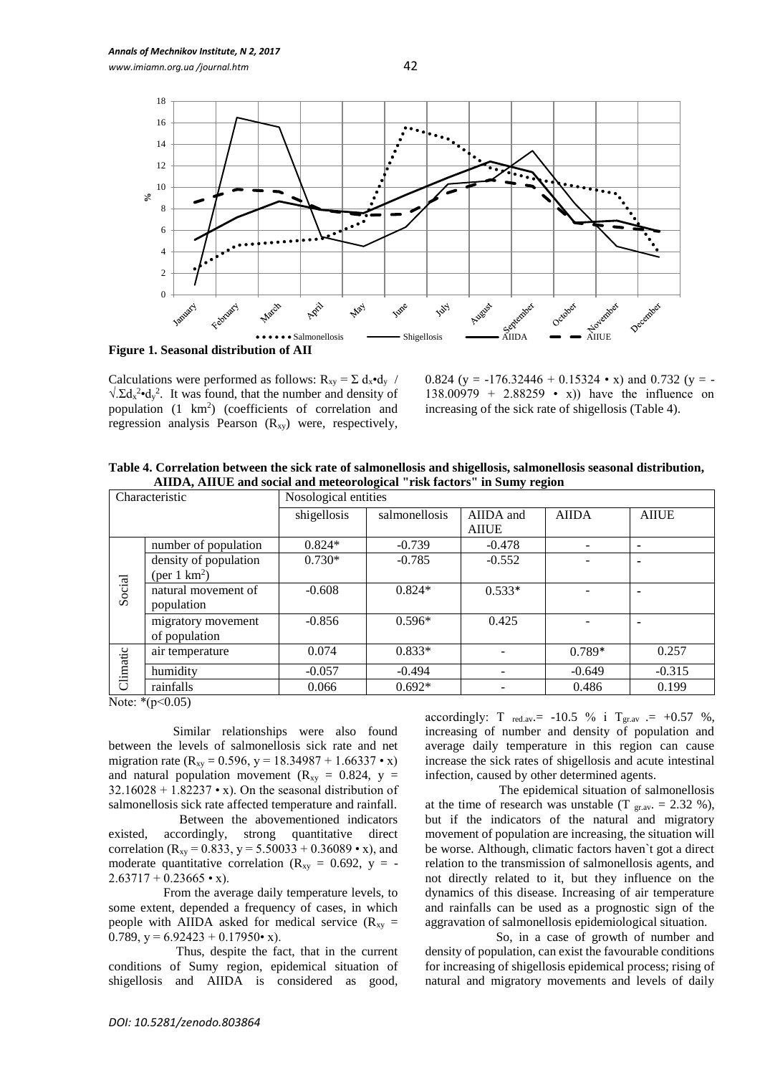

Calculations were performed as follows:  $R_{xy} = \sum d_x \cdot d_y$  /  $\sqrt{\Omega_x^2}$ •d<sub>y</sub><sup>2</sup>. It was found, that the number and density of population  $(1 \text{ km}^2)$  (coefficients of correlation and regression analysis Pearson  $(R_{xy})$  were, respectively,

0.824 (y =  $-176.32446 + 0.15324 \cdot x$ ) and 0.732 (y =  $-$ 138.00979 + 2.88259 • x)) have the influence on increasing of the sick rate of shigellosis (Table 4).

**Table 4. Correlation between the sick rate of salmonellosis and shigellosis, salmonellosis seasonal distribution, AIIDA, AIIUE and social and meteorological "risk factors" in Sumy region**

| <b>AIIDA</b><br>AIIDA and<br><b>AIIUE</b> |
|-------------------------------------------|
|                                           |
|                                           |
| $-0.478$<br>٠                             |
| $-0.552$<br>۰                             |
| $0.533*$<br>٠                             |
| 0.425<br>۰                                |
| 0.257<br>$0.789*$                         |
| $-0.315$<br>$-0.649$                      |
| 0.199<br>0.486                            |
|                                           |

Note: \*(p<0.05)

 Similar relationships were also found between the levels of salmonellosis sick rate and net migration rate ( $R_{xy} = 0.596$ ,  $y = 18.34987 + 1.66337 \cdot x$ ) and natural population movement ( $R_{xy} = 0.824$ ,  $y =$  $32.16028 + 1.82237 \cdot x$ . On the seasonal distribution of salmonellosis sick rate affected temperature and rainfall.

 Between the abovementioned indicators existed, accordingly, strong quantitative direct correlation ( $R_{xy} = 0.833$ ,  $y = 5.50033 + 0.36089 \cdot x$ ), and moderate quantitative correlation ( $R_{xy} = 0.692$ ,  $y = 2.63717 + 0.23665 \cdot x$ .

 From the average daily temperature levels, to some extent, depended a frequency of cases, in which people with AIIDA asked for medical service  $(R_{xy} =$ 0.789,  $y = 6.92423 + 0.17950 \cdot x$ .

 Thus, despite the fact, that in the current conditions of Sumy region, epidemical situation of shigellosis and AIIDA is considered as good, accordingly: T  $_{\text{red.av}} = -10.5 \%$  i  $T_{\text{grav}} = +0.57 \%$ , increasing of number and density of population and average daily temperature in this region can cause increase the sick rates of shigellosis and acute intestinal infection, caused by other determined agents.

 The epidemical situation of salmonellosis at the time of research was unstable (T  $_{\text{grav}}$  = 2.32 %), but if the indicators of the natural and migratory movement of population are increasing, the situation will be worse. Although, climatic factors haven`t got a direct relation to the transmission of salmonellosis agents, and not directly related to it, but they influence on the dynamics of this disease. Increasing of air temperature and rainfalls can be used as a prognostic sign of the aggravation of salmonellosis epidemiological situation.

 So, in a case of growth of number and density of population, can exist the favourable conditions for increasing of shigellosis epidemical process; rising of natural and migratory movements and levels of daily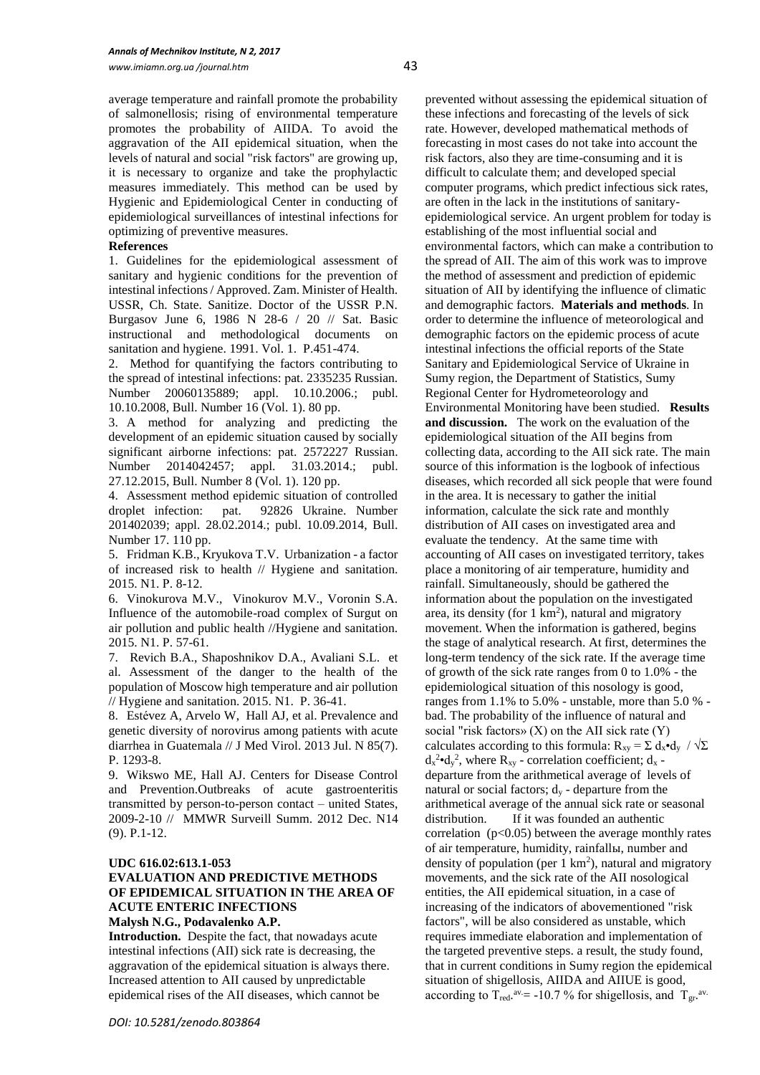average temperature and rainfall promote the probability of salmonellosis; rising of environmental temperature promotes the probability of AIIDA. To avoid the aggravation of the AII epidemical situation, when the levels of natural and social "risk factors" are growing up, it is necessary to organize and take the prophylactic measures immediately. This method can be used by Hygienic and Epidemiological Center in conducting of epidemiological surveillances of intestinal infections for optimizing of preventive measures.

#### **References**

1. Guidelines for the epidemiological assessment of sanitary and hygienic conditions for the prevention of intestinal infections / Approved. Zam. Minister of Health. USSR, Ch. State. Sanitize. Doctor of the USSR P.N. Burgasov June 6, 1986 N 28-6 / 20 // Sat. Basic instructional and methodological documents on sanitation and hygiene. 1991. Vol. 1. P.451-474.

2. Method for quantifying the factors contributing to the spread of intestinal infections: рat. 2335235 Russian. Number 20060135889; appl. 10.10.2006.; publ. 10.10.2008, Bull. Number 16 (Vol. 1). 80 pp.

3. A method for analyzing and predicting the development of an epidemic situation caused by socially significant airborne infections: pat. 2572227 Russian. Number 2014042457; appl. 31.03.2014.; publ. 27.12.2015, Bull. Number 8 (Vol. 1). 120 pp.

4. Assessment method epidemic situation of controlled droplet infection: рat. 92826 Ukraine. Number 201402039; appl. 28.02.2014.; publ. 10.09.2014, Bull. Number 17. 110 pp.

5. Fridman K.B., Kryukova T.V. Urbanization - a factor of increased risk to health // Hygiene and sanitation. 2015. N1. Р. 8-12.

6. Vinokurova M.V., Vinokurov M.V., Voronin S.A. Influence of the automobile-road complex of Surgut on air pollution and public health //Hygiene and sanitation. 2015. N1. P. 57-61.

7. Revich B.A., Shaposhnikov D.A., Avaliani S.L. et al. Assessment of the danger to the health of the population of Moscow high temperature and air pollution // Hygiene and sanitation. 2015. N1. P. 36-41.

8. Estévez A, Arvelo W, Hall AJ, et al. Prevalence and genetic diversity of norovirus among patients with acute diarrhea in Guatemala // J Med Virol. 2013 Jul. N 85(7). P. 1293-8.

9. Wikswo ME, Hall AJ. Centers for Disease Control and Prevention.Outbreaks of acute gastroenteritis transmitted by person-to-person contact – united States, 2009-2-10 // MMWR Surveill Summ. 2012 Dec. N14 (9). P.1-12.

#### **UDC 616.02:613.1-053**

# **EVALUATION AND PREDICTIVE METHODS OF EPIDEMICAL SITUATION IN THE AREA OF ACUTE ENTERIC INFECTIONS**

**Malysh N.G., Podavalenko A.P.**

**Introduction.** Despite the fact, that nowadays acute intestinal infections (AII) sick rate is decreasing, the aggravation of the epidemical situation is always there. Increased attention to AII caused by unpredictable epidemical rises of the AII diseases, which cannot be

prevented without assessing the epidemical situation of these infections and forecasting of the levels of sick rate. However, developed mathematical methods of forecasting in most cases do not take into account the risk factors, also they are time-consuming and it is difficult to calculate them; and developed special computer programs, which predict infectious sick rates, are often in the lack in the institutions of sanitaryepidemiological service. An urgent problem for today is establishing of the most influential social and environmental factors, which can make a contribution to the spread of AII. The aim of this work was to improve the method of assessment and prediction of epidemic situation of AII by identifying the influence of climatic and demographic factors. **Materials and methods**. In order to determine the influence of meteorological and demographic factors on the epidemic process of acute intestinal infections the official reports of the State Sanitary and Epidemiological Service of Ukraine in Sumy region, the Department of Statistics, Sumy Regional Center for Hydrometeorology and Environmental Monitoring have been studied. **Results and discussion.** The work on the evaluation of the epidemiological situation of the AII begins from collecting data, according to the AII sick rate. The main source of this information is the logbook of infectious diseases, which recorded all sick people that were found in the area. It is necessary to gather the initial information, calculate the sick rate and monthly distribution of AII cases on investigated area and evaluate the tendency. At the same time with accounting of AII cases on investigated territory, takes place a monitoring of air temperature, humidity and rainfall. Simultaneously, should be gathered the information about the population on the investigated area, its density (for  $1 \text{ km}^2$ ), natural and migratory movement. When the information is gathered, begins the stage of analytical research. At first, determines the long-term tendency of the sick rate. If the average time of growth of the sick rate ranges from 0 to 1.0% - the epidemiological situation of this nosology is good, ranges from 1.1% to 5.0% - unstable, more than 5.0 % bad. The probability of the influence of natural and social "risk factors»  $(X)$  on the AII sick rate  $(Y)$ calculates according to this formula:  $R_{xy} = \sum d_x \cdot d_y / \sqrt{\sum d_y}$  $d_x^2$ • $d_y^2$ , where  $R_{xy}$  - correlation coefficient;  $d_x$  departure from the arithmetical average of levels of natural or social factors;  $d_v$  - departure from the arithmetical average of the annual sick rate or seasonal distribution. If it was founded an authentic correlation  $(p<0.05)$  between the average monthly rates of air temperature, humidity, rainfallы, number and density of population (per  $1 \text{ km}^2$ ), natural and migratory movements, and the sick rate of the AII nosological entities, the AII epidemical situation, in a case of increasing of the indicators of abovementioned "risk factors", will be also considered as unstable, which requires immediate elaboration and implementation of the targeted preventive steps. a result, the study found, that in current conditions in Sumy region the epidemical situation of shigellosis, AIIDA and AIIUE is good, according to T<sub>red</sub>.<sup>av</sup> = -10.7 % for shigellosis, and T<sub>gr</sub>.<sup>av.</sup>